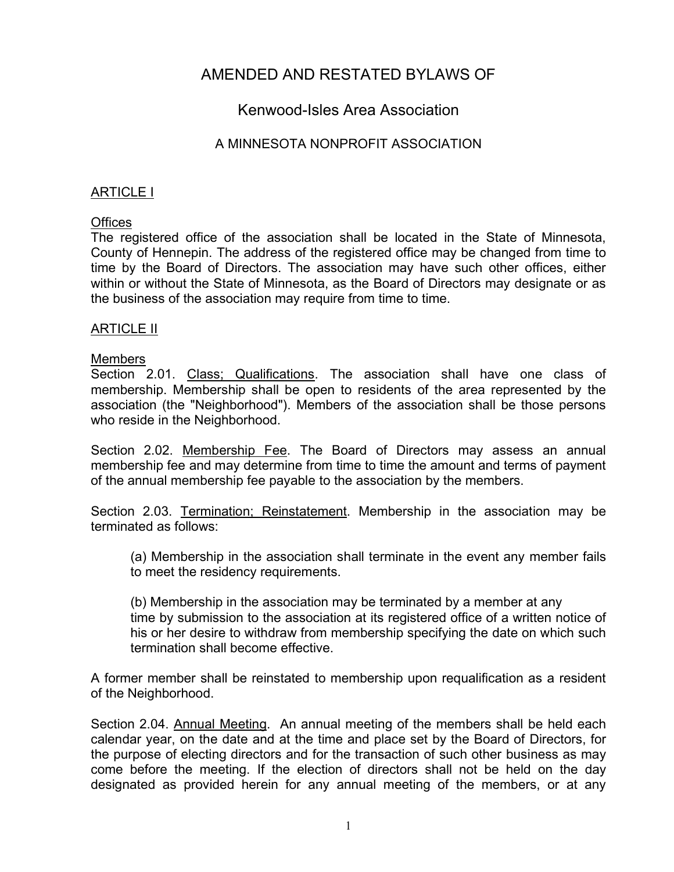# AMENDED AND RESTATED BYLAWS OF

## Kenwood-Isles Area Association

### A MINNESOTA NONPROFIT ASSOCIATION

### ARTICLE I

### **Offices**

The registered office of the association shall be located in the State of Minnesota, County of Hennepin. The address of the registered office may be changed from time to time by the Board of Directors. The association may have such other offices, either within or without the State of Minnesota, as the Board of Directors may designate or as the business of the association may require from time to time.

### ARTICLE II

### Members

Section 2.01. Class; Qualifications. The association shall have one class of membership. Membership shall be open to residents of the area represented by the association (the "Neighborhood"). Members of the association shall be those persons who reside in the Neighborhood.

Section 2.02. Membership Fee. The Board of Directors may assess an annual membership fee and may determine from time to time the amount and terms of payment of the annual membership fee payable to the association by the members.

Section 2.03. Termination; Reinstatement. Membership in the association may be terminated as follows:

(a) Membership in the association shall terminate in the event any member fails to meet the residency requirements.

(b) Membership in the association may be terminated by a member at any time by submission to the association at its registered office of a written notice of his or her desire to withdraw from membership specifying the date on which such termination shall become effective.

A former member shall be reinstated to membership upon requalification as a resident of the Neighborhood.

Section 2.04. Annual Meeting. An annual meeting of the members shall be held each calendar year, on the date and at the time and place set by the Board of Directors, for the purpose of electing directors and for the transaction of such other business as may come before the meeting. If the election of directors shall not be held on the day designated as provided herein for any annual meeting of the members, or at any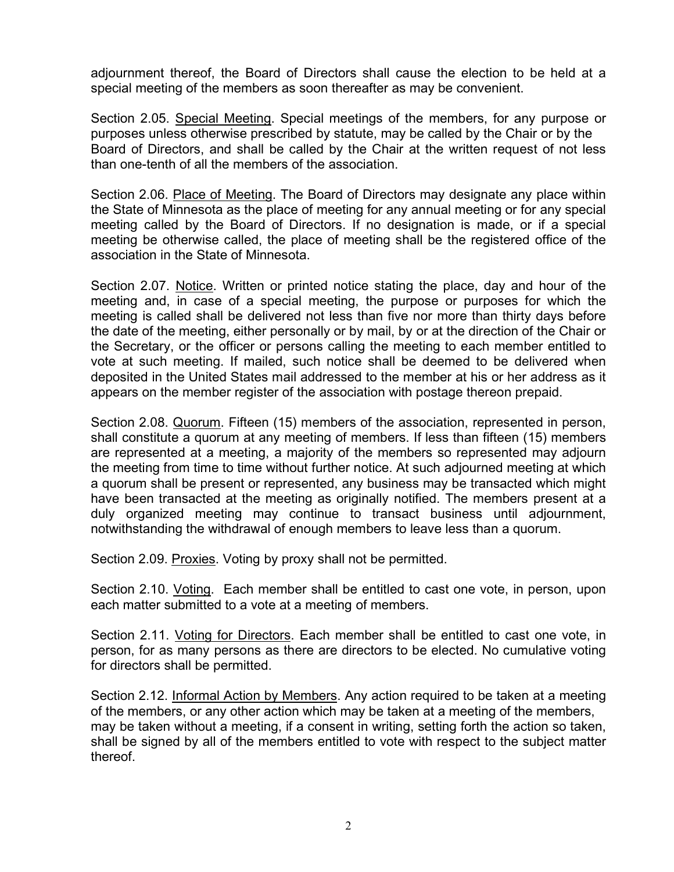adjournment thereof, the Board of Directors shall cause the election to be held at a special meeting of the members as soon thereafter as may be convenient.

Section 2.05. Special Meeting. Special meetings of the members, for any purpose or purposes unless otherwise prescribed by statute, may be called by the Chair or by the Board of Directors, and shall be called by the Chair at the written request of not less than one-tenth of all the members of the association.

Section 2.06. Place of Meeting. The Board of Directors may designate any place within the State of Minnesota as the place of meeting for any annual meeting or for any special meeting called by the Board of Directors. If no designation is made, or if a special meeting be otherwise called, the place of meeting shall be the registered office of the association in the State of Minnesota.

Section 2.07. Notice. Written or printed notice stating the place, day and hour of the meeting and, in case of a special meeting, the purpose or purposes for which the meeting is called shall be delivered not less than five nor more than thirty days before the date of the meeting, either personally or by mail, by or at the direction of the Chair or the Secretary, or the officer or persons calling the meeting to each member entitled to vote at such meeting. If mailed, such notice shall be deemed to be delivered when deposited in the United States mail addressed to the member at his or her address as it appears on the member register of the association with postage thereon prepaid.

Section 2.08. Quorum. Fifteen (15) members of the association, represented in person, shall constitute a quorum at any meeting of members. If less than fifteen (15) members are represented at a meeting, a majority of the members so represented may adjourn the meeting from time to time without further notice. At such adjourned meeting at which a quorum shall be present or represented, any business may be transacted which might have been transacted at the meeting as originally notified. The members present at a duly organized meeting may continue to transact business until adjournment, notwithstanding the withdrawal of enough members to leave less than a quorum.

Section 2.09. Proxies. Voting by proxy shall not be permitted.

Section 2.10. Voting. Each member shall be entitled to cast one vote, in person, upon each matter submitted to a vote at a meeting of members.

Section 2.11. Voting for Directors. Each member shall be entitled to cast one vote, in person, for as many persons as there are directors to be elected. No cumulative voting for directors shall be permitted.

Section 2.12. Informal Action by Members. Any action required to be taken at a meeting of the members, or any other action which may be taken at a meeting of the members, may be taken without a meeting, if a consent in writing, setting forth the action so taken, shall be signed by all of the members entitled to vote with respect to the subject matter thereof.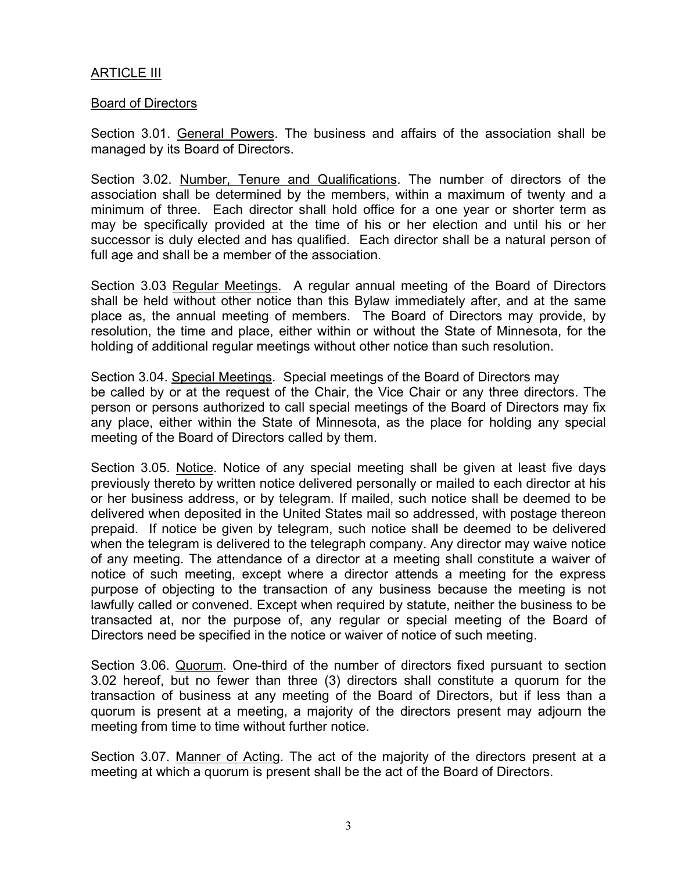### ARTICLE III

#### Board of Directors

Section 3.01. General Powers. The business and affairs of the association shall be managed by its Board of Directors.

Section 3.02. Number, Tenure and Qualifications. The number of directors of the association shall be determined by the members, within a maximum of twenty and a minimum of three. Each director shall hold office for a one year or shorter term as may be specifically provided at the time of his or her election and until his or her successor is duly elected and has qualified. Each director shall be a natural person of full age and shall be a member of the association.

Section 3.03 Regular Meetings. A regular annual meeting of the Board of Directors shall be held without other notice than this Bylaw immediately after, and at the same place as, the annual meeting of members. The Board of Directors may provide, by resolution, the time and place, either within or without the State of Minnesota, for the holding of additional regular meetings without other notice than such resolution.

Section 3.04. Special Meetings. Special meetings of the Board of Directors may be called by or at the request of the Chair, the Vice Chair or any three directors. The person or persons authorized to call special meetings of the Board of Directors may fix any place, either within the State of Minnesota, as the place for holding any special meeting of the Board of Directors called by them.

Section 3.05. Notice. Notice of any special meeting shall be given at least five days previously thereto by written notice delivered personally or mailed to each director at his or her business address, or by telegram. If mailed, such notice shall be deemed to be delivered when deposited in the United States mail so addressed, with postage thereon prepaid. If notice be given by telegram, such notice shall be deemed to be delivered when the telegram is delivered to the telegraph company. Any director may waive notice of any meeting. The attendance of a director at a meeting shall constitute a waiver of notice of such meeting, except where a director attends a meeting for the express purpose of objecting to the transaction of any business because the meeting is not lawfully called or convened. Except when required by statute, neither the business to be transacted at, nor the purpose of, any regular or special meeting of the Board of Directors need be specified in the notice or waiver of notice of such meeting.

Section 3.06. Quorum. One-third of the number of directors fixed pursuant to section 3.02 hereof, but no fewer than three (3) directors shall constitute a quorum for the transaction of business at any meeting of the Board of Directors, but if less than a quorum is present at a meeting, a majority of the directors present may adjourn the meeting from time to time without further notice.

Section 3.07. Manner of Acting. The act of the majority of the directors present at a meeting at which a quorum is present shall be the act of the Board of Directors.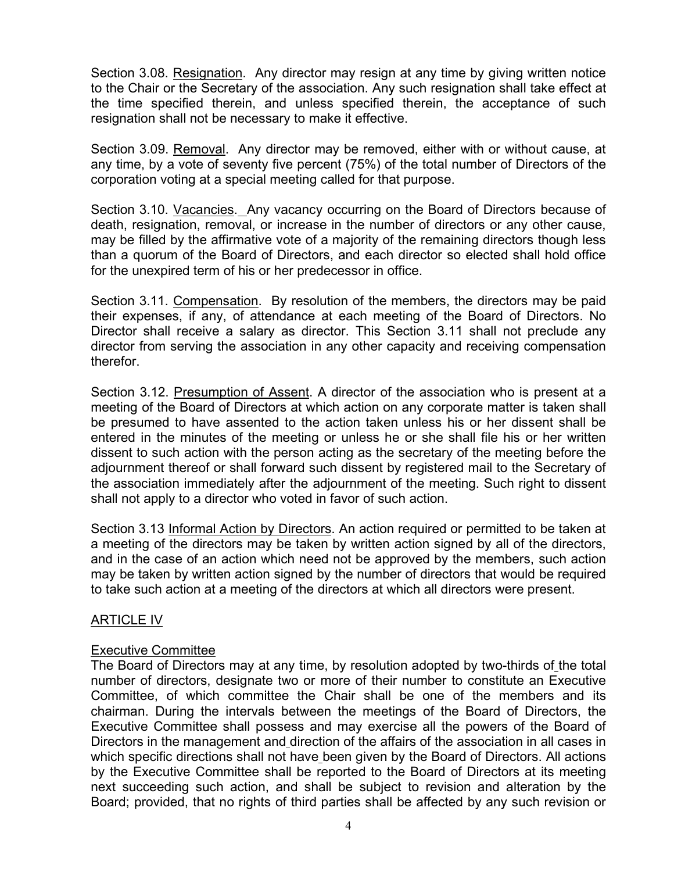Section 3.08. Resignation. Any director may resign at any time by giving written notice to the Chair or the Secretary of the association. Any such resignation shall take effect at the time specified therein, and unless specified therein, the acceptance of such resignation shall not be necessary to make it effective.

Section 3.09. Removal. Any director may be removed, either with or without cause, at any time, by a vote of seventy five percent (75%) of the total number of Directors of the corporation voting at a special meeting called for that purpose.

Section 3.10. Vacancies. Any vacancy occurring on the Board of Directors because of death, resignation, removal, or increase in the number of directors or any other cause, may be filled by the affirmative vote of a majority of the remaining directors though less than a quorum of the Board of Directors, and each director so elected shall hold office for the unexpired term of his or her predecessor in office.

Section 3.11. Compensation. By resolution of the members, the directors may be paid their expenses, if any, of attendance at each meeting of the Board of Directors. No Director shall receive a salary as director. This Section 3.11 shall not preclude any director from serving the association in any other capacity and receiving compensation therefor.

Section 3.12. Presumption of Assent. A director of the association who is present at a meeting of the Board of Directors at which action on any corporate matter is taken shall be presumed to have assented to the action taken unless his or her dissent shall be entered in the minutes of the meeting or unless he or she shall file his or her written dissent to such action with the person acting as the secretary of the meeting before the adjournment thereof or shall forward such dissent by registered mail to the Secretary of the association immediately after the adjournment of the meeting. Such right to dissent shall not apply to a director who voted in favor of such action.

Section 3.13 Informal Action by Directors. An action required or permitted to be taken at a meeting of the directors may be taken by written action signed by all of the directors, and in the case of an action which need not be approved by the members, such action may be taken by written action signed by the number of directors that would be required to take such action at a meeting of the directors at which all directors were present.

### ARTICLE IV

### Executive Committee

The Board of Directors may at any time, by resolution adopted by two-thirds of the total number of directors, designate two or more of their number to constitute an Executive Committee, of which committee the Chair shall be one of the members and its chairman. During the intervals between the meetings of the Board of Directors, the Executive Committee shall possess and may exercise all the powers of the Board of Directors in the management and direction of the affairs of the association in all cases in which specific directions shall not have been given by the Board of Directors. All actions by the Executive Committee shall be reported to the Board of Directors at its meeting next succeeding such action, and shall be subject to revision and alteration by the Board; provided, that no rights of third parties shall be affected by any such revision or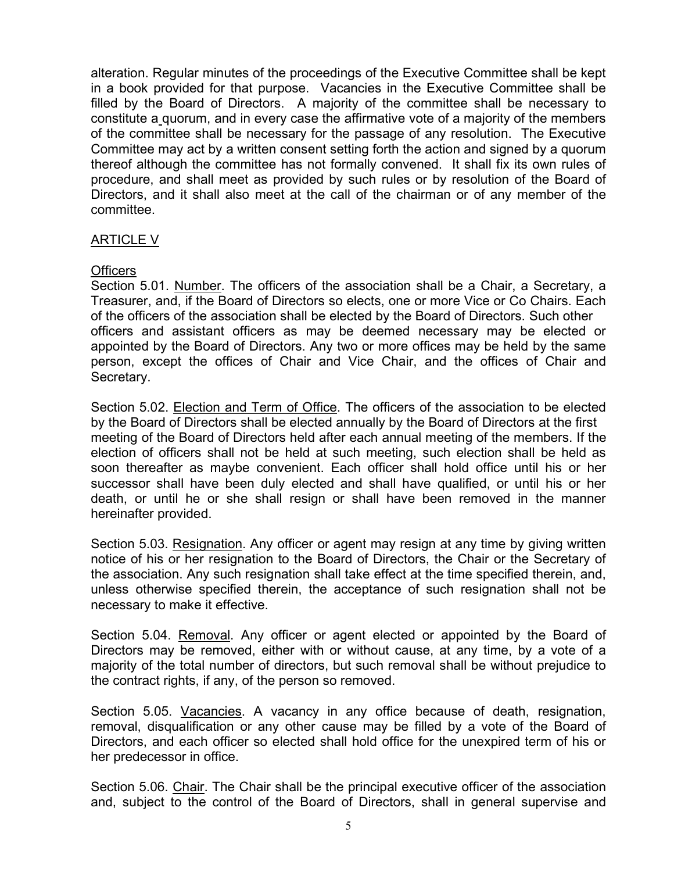alteration. Regular minutes of the proceedings of the Executive Committee shall be kept in a book provided for that purpose. Vacancies in the Executive Committee shall be filled by the Board of Directors. A majority of the committee shall be necessary to constitute a quorum, and in every case the affirmative vote of a majority of the members of the committee shall be necessary for the passage of any resolution. The Executive Committee may act by a written consent setting forth the action and signed by a quorum thereof although the committee has not formally convened. It shall fix its own rules of procedure, and shall meet as provided by such rules or by resolution of the Board of Directors, and it shall also meet at the call of the chairman or of any member of the committee.

### ARTICLE V

#### Officers

Section 5.01. Number. The officers of the association shall be a Chair, a Secretary, a Treasurer, and, if the Board of Directors so elects, one or more Vice or Co Chairs. Each of the officers of the association shall be elected by the Board of Directors. Such other officers and assistant officers as may be deemed necessary may be elected or appointed by the Board of Directors. Any two or more offices may be held by the same person, except the offices of Chair and Vice Chair, and the offices of Chair and Secretary.

Section 5.02. Election and Term of Office. The officers of the association to be elected by the Board of Directors shall be elected annually by the Board of Directors at the first meeting of the Board of Directors held after each annual meeting of the members. If the election of officers shall not be held at such meeting, such election shall be held as soon thereafter as maybe convenient. Each officer shall hold office until his or her successor shall have been duly elected and shall have qualified, or until his or her death, or until he or she shall resign or shall have been removed in the manner hereinafter provided.

Section 5.03. Resignation. Any officer or agent may resign at any time by giving written notice of his or her resignation to the Board of Directors, the Chair or the Secretary of the association. Any such resignation shall take effect at the time specified therein, and, unless otherwise specified therein, the acceptance of such resignation shall not be necessary to make it effective.

Section 5.04. Removal. Any officer or agent elected or appointed by the Board of Directors may be removed, either with or without cause, at any time, by a vote of a majority of the total number of directors, but such removal shall be without prejudice to the contract rights, if any, of the person so removed.

Section 5.05. Vacancies. A vacancy in any office because of death, resignation, removal, disqualification or any other cause may be filled by a vote of the Board of Directors, and each officer so elected shall hold office for the unexpired term of his or her predecessor in office.

Section 5.06. Chair. The Chair shall be the principal executive officer of the association and, subject to the control of the Board of Directors, shall in general supervise and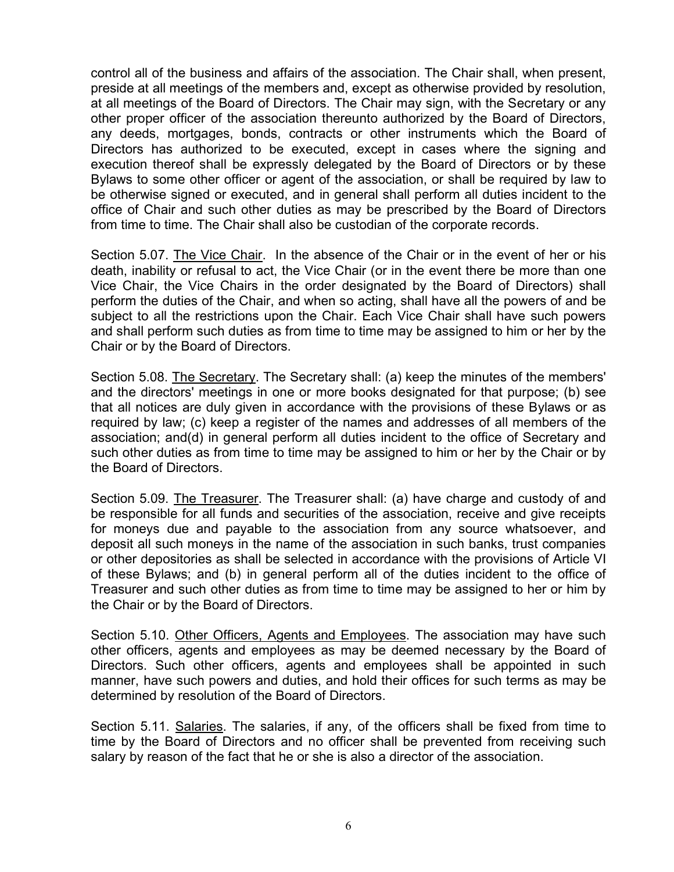control all of the business and affairs of the association. The Chair shall, when present, preside at all meetings of the members and, except as otherwise provided by resolution, at all meetings of the Board of Directors. The Chair may sign, with the Secretary or any other proper officer of the association thereunto authorized by the Board of Directors, any deeds, mortgages, bonds, contracts or other instruments which the Board of Directors has authorized to be executed, except in cases where the signing and execution thereof shall be expressly delegated by the Board of Directors or by these Bylaws to some other officer or agent of the association, or shall be required by law to be otherwise signed or executed, and in general shall perform all duties incident to the office of Chair and such other duties as may be prescribed by the Board of Directors from time to time. The Chair shall also be custodian of the corporate records.

Section 5.07. The Vice Chair. In the absence of the Chair or in the event of her or his death, inability or refusal to act, the Vice Chair (or in the event there be more than one Vice Chair, the Vice Chairs in the order designated by the Board of Directors) shall perform the duties of the Chair, and when so acting, shall have all the powers of and be subject to all the restrictions upon the Chair. Each Vice Chair shall have such powers and shall perform such duties as from time to time may be assigned to him or her by the Chair or by the Board of Directors.

Section 5.08. The Secretary. The Secretary shall: (a) keep the minutes of the members' and the directors' meetings in one or more books designated for that purpose; (b) see that all notices are duly given in accordance with the provisions of these Bylaws or as required by law; (c) keep a register of the names and addresses of all members of the association; and(d) in general perform all duties incident to the office of Secretary and such other duties as from time to time may be assigned to him or her by the Chair or by the Board of Directors.

Section 5.09. The Treasurer. The Treasurer shall: (a) have charge and custody of and be responsible for all funds and securities of the association, receive and give receipts for moneys due and payable to the association from any source whatsoever, and deposit all such moneys in the name of the association in such banks, trust companies or other depositories as shall be selected in accordance with the provisions of Article VI of these Bylaws; and (b) in general perform all of the duties incident to the office of Treasurer and such other duties as from time to time may be assigned to her or him by the Chair or by the Board of Directors.

Section 5.10. Other Officers, Agents and Employees. The association may have such other officers, agents and employees as may be deemed necessary by the Board of Directors. Such other officers, agents and employees shall be appointed in such manner, have such powers and duties, and hold their offices for such terms as may be determined by resolution of the Board of Directors.

Section 5.11. Salaries. The salaries, if any, of the officers shall be fixed from time to time by the Board of Directors and no officer shall be prevented from receiving such salary by reason of the fact that he or she is also a director of the association.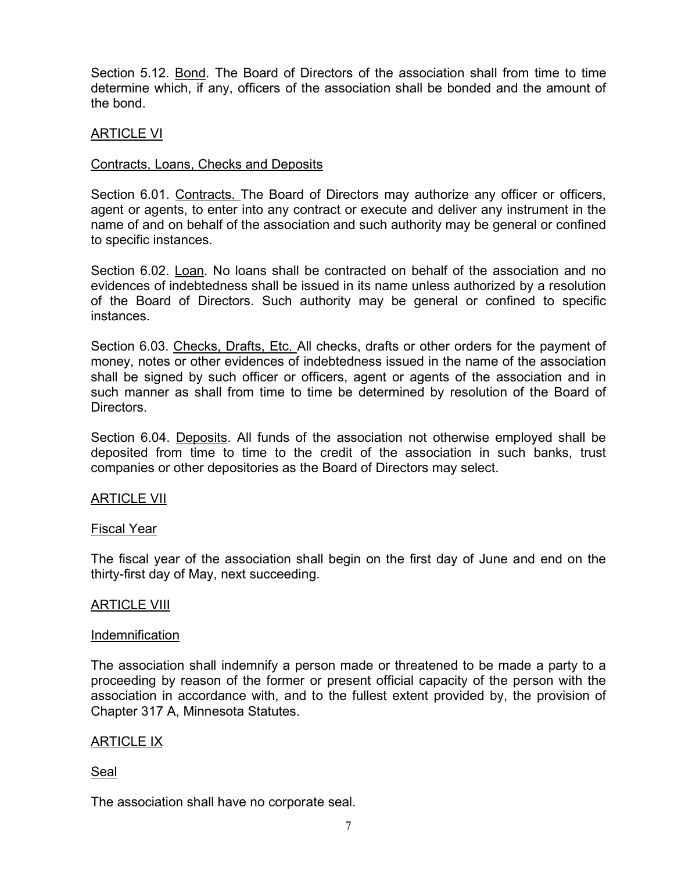Section 5.12. Bond. The Board of Directors of the association shall from time to time determine which, if any, officers of the association shall be bonded and the amount of the bond.

### ARTICLE VI

#### Contracts, Loans, Checks and Deposits

Section 6.01. Contracts. The Board of Directors may authorize any officer or officers, agent or agents, to enter into any contract or execute and deliver any instrument in the name of and on behalf of the association and such authority may be general or confined to specific instances.

Section 6.02. Loan. No loans shall be contracted on behalf of the association and no evidences of indebtedness shall be issued in its name unless authorized by a resolution of the Board of Directors. Such authority may be general or confined to specific instances.

Section 6.03. Checks, Drafts, Etc. All checks, drafts or other orders for the payment of money, notes or other evidences of indebtedness issued in the name of the association shall be signed by such officer or officers, agent or agents of the association and in such manner as shall from time to time be determined by resolution of the Board of Directors.

Section 6.04. Deposits. All funds of the association not otherwise employed shall be deposited from time to time to the credit of the association in such banks, trust companies or other depositories as the Board of Directors may select.

### ARTICLE VII

#### Fiscal Year

The fiscal year of the association shall begin on the first day of June and end on the thirty-first day of May, next succeeding.

#### **ARTICLE VIII**

#### **Indemnification**

The association shall indemnify a person made or threatened to be made a party to a proceeding by reason of the former or present official capacity of the person with the association in accordance with, and to the fullest extent provided by, the provision of Chapter 317 A, Minnesota Statutes.

#### ARTICLE IX

#### Seal

The association shall have no corporate seal.